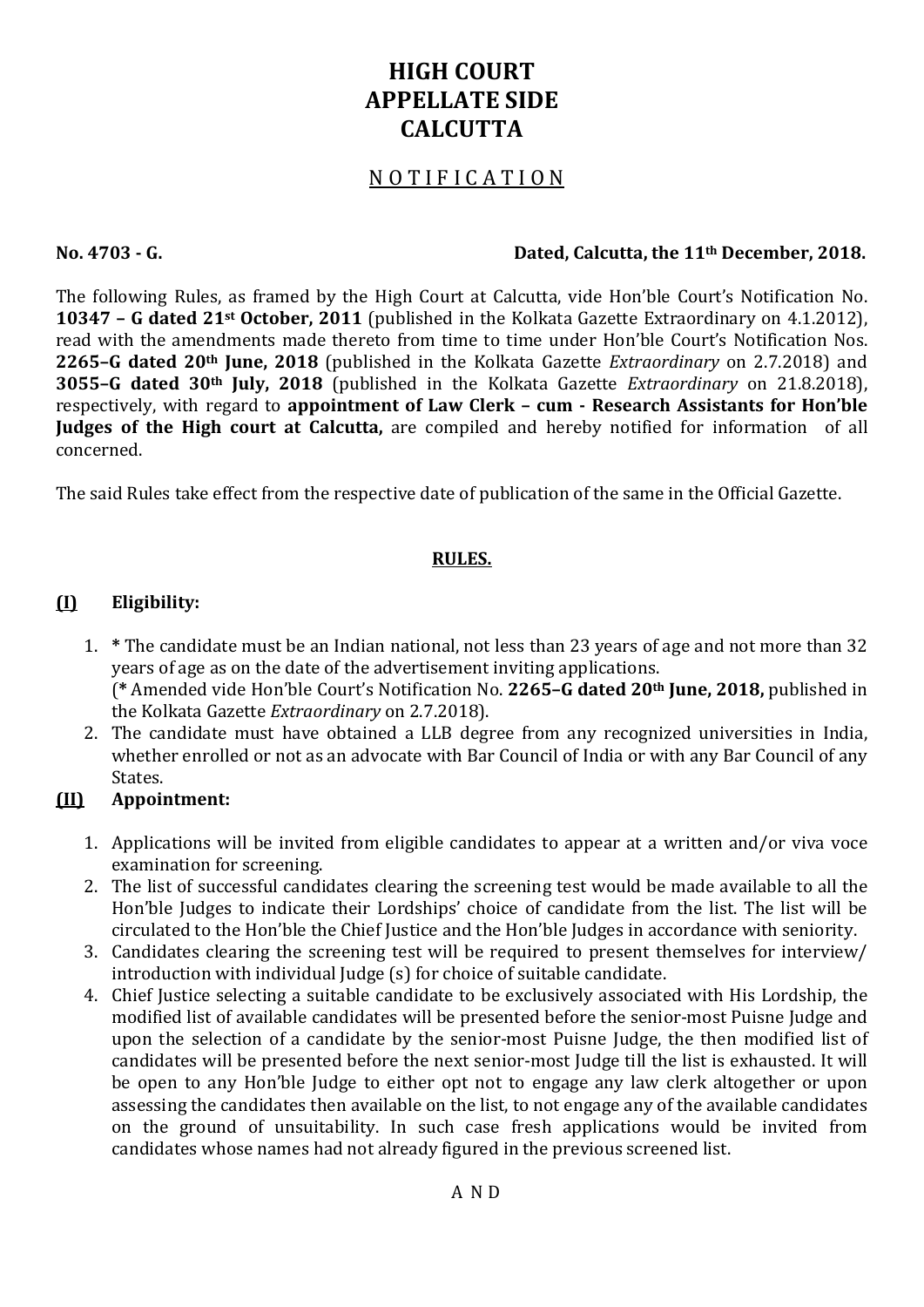# HIGH COURT APPELLATE SIDE **CALCUTTA**

# N O T I F I C A T I O N

#### No. 4703 - G. Dated, Calcutta, the 11th December, 2018.

The following Rules, as framed by the High Court at Calcutta, vide Hon'ble Court's Notification No. 10347 – G dated 21st October, 2011 (published in the Kolkata Gazette Extraordinary on 4.1.2012), read with the amendments made thereto from time to time under Hon'ble Court's Notification Nos. 2265–G dated 20th June, 2018 (published in the Kolkata Gazette Extraordinary on 2.7.2018) and 3055–G dated 30th July, 2018 (published in the Kolkata Gazette Extraordinary on 21.8.2018), respectively, with regard to appointment of Law Clerk – cum - Research Assistants for Hon'ble Judges of the High court at Calcutta, are compiled and hereby notified for information of all concerned.

The said Rules take effect from the respective date of publication of the same in the Official Gazette.

#### RULES.

#### (I) Eligibility:

- 1. \* The candidate must be an Indian national, not less than 23 years of age and not more than 32 years of age as on the date of the advertisement inviting applications. (\* Amended vide Hon'ble Court's Notification No. 2265–G dated 20th June, 2018, published in the Kolkata Gazette Extraordinary on 2.7.2018).
- 2. The candidate must have obtained a LLB degree from any recognized universities in India, whether enrolled or not as an advocate with Bar Council of India or with any Bar Council of any States.

### (II) Appointment:

- 1. Applications will be invited from eligible candidates to appear at a written and/or viva voce examination for screening.
- 2. The list of successful candidates clearing the screening test would be made available to all the Hon'ble Judges to indicate their Lordships' choice of candidate from the list. The list will be circulated to the Hon'ble the Chief Justice and the Hon'ble Judges in accordance with seniority.
- 3. Candidates clearing the screening test will be required to present themselves for interview/ introduction with individual Judge (s) for choice of suitable candidate.
- 4. Chief Justice selecting a suitable candidate to be exclusively associated with His Lordship, the modified list of available candidates will be presented before the senior-most Puisne Judge and upon the selection of a candidate by the senior-most Puisne Judge, the then modified list of candidates will be presented before the next senior-most Judge till the list is exhausted. It will be open to any Hon'ble Judge to either opt not to engage any law clerk altogether or upon assessing the candidates then available on the list, to not engage any of the available candidates on the ground of unsuitability. In such case fresh applications would be invited from candidates whose names had not already figured in the previous screened list.